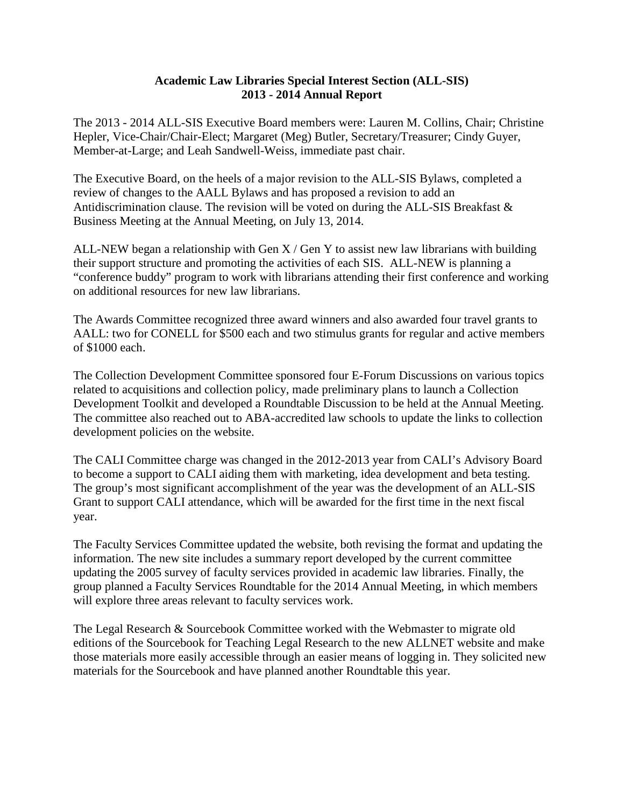## **Academic Law Libraries Special Interest Section (ALL-SIS) 2013 - 2014 Annual Report**

The 2013 - 2014 ALL-SIS Executive Board members were: Lauren M. Collins, Chair; Christine Hepler, Vice-Chair/Chair-Elect; Margaret (Meg) Butler, Secretary/Treasurer; Cindy Guyer, Member-at-Large; and Leah Sandwell-Weiss, immediate past chair.

The Executive Board, on the heels of a major revision to the ALL-SIS Bylaws, completed a review of changes to the AALL Bylaws and has proposed a revision to add an Antidiscrimination clause. The revision will be voted on during the ALL-SIS Breakfast & Business Meeting at the Annual Meeting, on July 13, 2014.

ALL-NEW began a relationship with Gen  $X /$  Gen Y to assist new law librarians with building their support structure and promoting the activities of each SIS. ALL-NEW is planning a "conference buddy" program to work with librarians attending their first conference and working on additional resources for new law librarians.

The Awards Committee recognized three award winners and also awarded four travel grants to AALL: two for CONELL for \$500 each and two stimulus grants for regular and active members of \$1000 each.

The Collection Development Committee sponsored four E-Forum Discussions on various topics related to acquisitions and collection policy, made preliminary plans to launch a Collection Development Toolkit and developed a Roundtable Discussion to be held at the Annual Meeting. The committee also reached out to ABA-accredited law schools to update the links to collection development policies on the website.

The CALI Committee charge was changed in the 2012-2013 year from CALI's Advisory Board to become a support to CALI aiding them with marketing, idea development and beta testing. The group's most significant accomplishment of the year was the development of an ALL-SIS Grant to support CALI attendance, which will be awarded for the first time in the next fiscal year.

The Faculty Services Committee updated the website, both revising the format and updating the information. The new site includes a summary report developed by the current committee updating the 2005 survey of faculty services provided in academic law libraries. Finally, the group planned a Faculty Services Roundtable for the 2014 Annual Meeting, in which members will explore three areas relevant to faculty services work.

The Legal Research & Sourcebook Committee worked with the Webmaster to migrate old editions of the Sourcebook for Teaching Legal Research to the new ALLNET website and make those materials more easily accessible through an easier means of logging in. They solicited new materials for the Sourcebook and have planned another Roundtable this year.